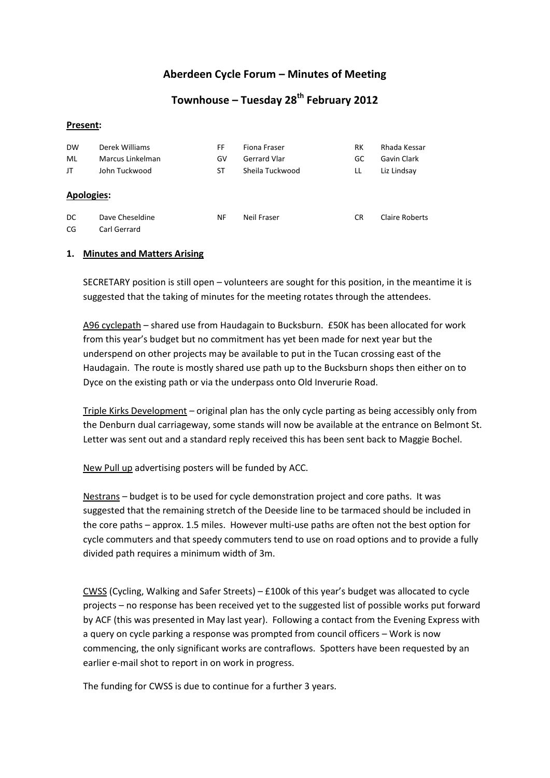## **Aberdeen Cycle Forum – Minutes of Meeting**

# **Townhouse – Tuesday 28th February 2012**

#### **Present:**

| <b>DW</b>         | Derek Williams   | FF | Fiona Fraser        | RК  | Rhada Kessar   |
|-------------------|------------------|----|---------------------|-----|----------------|
| ML                | Marcus Linkelman | G٧ | <b>Gerrard Vlar</b> | GC  | Gavin Clark    |
| JT                | John Tuckwood    | ST | Sheila Tuckwood     | LL  | Liz Lindsay    |
| <b>Apologies:</b> |                  |    |                     |     |                |
| DC.               | Dave Cheseldine  | ΝF | Neil Fraser         | CR. | Claire Roberts |
| CG                | Carl Gerrard     |    |                     |     |                |

#### **1. Minutes and Matters Arising**

SECRETARY position is still open – volunteers are sought for this position, in the meantime it is suggested that the taking of minutes for the meeting rotates through the attendees.

A96 cyclepath – shared use from Haudagain to Bucksburn. £50K has been allocated for work from this year's budget but no commitment has yet been made for next year but the underspend on other projects may be available to put in the Tucan crossing east of the Haudagain. The route is mostly shared use path up to the Bucksburn shops then either on to Dyce on the existing path or via the underpass onto Old Inverurie Road.

Triple Kirks Development – original plan has the only cycle parting as being accessibly only from the Denburn dual carriageway, some stands will now be available at the entrance on Belmont St. Letter was sent out and a standard reply received this has been sent back to Maggie Bochel.

New Pull up advertising posters will be funded by ACC.

Nestrans – budget is to be used for cycle demonstration project and core paths. It was suggested that the remaining stretch of the Deeside line to be tarmaced should be included in the core paths – approx. 1.5 miles. However multi-use paths are often not the best option for cycle commuters and that speedy commuters tend to use on road options and to provide a fully divided path requires a minimum width of 3m.

CWSS (Cycling, Walking and Safer Streets) – £100k of this year's budget was allocated to cycle projects – no response has been received yet to the suggested list of possible works put forward by ACF (this was presented in May last year). Following a contact from the Evening Express with a query on cycle parking a response was prompted from council officers – Work is now commencing, the only significant works are contraflows. Spotters have been requested by an earlier e-mail shot to report in on work in progress.

The funding for CWSS is due to continue for a further 3 years.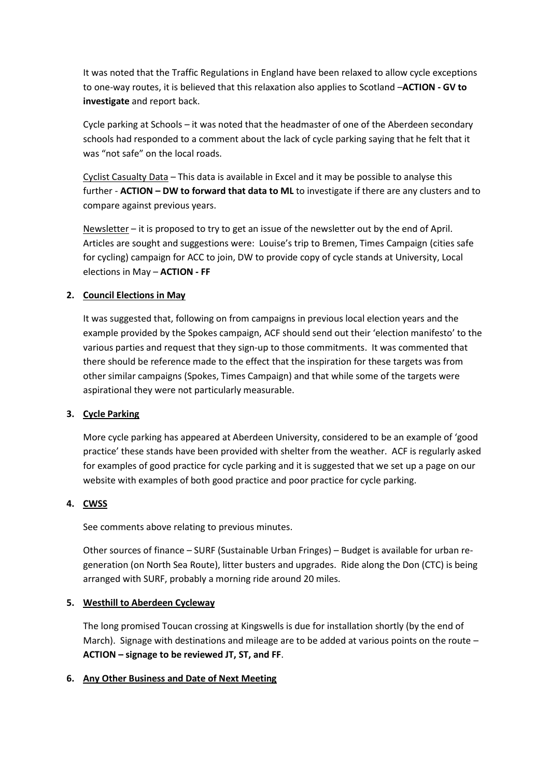It was noted that the Traffic Regulations in England have been relaxed to allow cycle exceptions to one-way routes, it is believed that this relaxation also applies to Scotland –**ACTION - GV to investigate** and report back.

Cycle parking at Schools – it was noted that the headmaster of one of the Aberdeen secondary schools had responded to a comment about the lack of cycle parking saying that he felt that it was "not safe" on the local roads.

Cyclist Casualty Data – This data is available in Excel and it may be possible to analyse this further - **ACTION – DW to forward that data to ML** to investigate if there are any clusters and to compare against previous years.

Newsletter – it is proposed to try to get an issue of the newsletter out by the end of April. Articles are sought and suggestions were: Louise's trip to Bremen, Times Campaign (cities safe for cycling) campaign for ACC to join, DW to provide copy of cycle stands at University, Local elections in May – **ACTION - FF**

## **2. Council Elections in May**

It was suggested that, following on from campaigns in previous local election years and the example provided by the Spokes campaign, ACF should send out their 'election manifesto' to the various parties and request that they sign-up to those commitments. It was commented that there should be reference made to the effect that the inspiration for these targets was from other similar campaigns (Spokes, Times Campaign) and that while some of the targets were aspirational they were not particularly measurable.

## **3. Cycle Parking**

More cycle parking has appeared at Aberdeen University, considered to be an example of 'good practice' these stands have been provided with shelter from the weather. ACF is regularly asked for examples of good practice for cycle parking and it is suggested that we set up a page on our website with examples of both good practice and poor practice for cycle parking.

## **4. CWSS**

See comments above relating to previous minutes.

Other sources of finance – SURF (Sustainable Urban Fringes) – Budget is available for urban regeneration (on North Sea Route), litter busters and upgrades. Ride along the Don (CTC) is being arranged with SURF, probably a morning ride around 20 miles.

## **5. Westhill to Aberdeen Cycleway**

The long promised Toucan crossing at Kingswells is due for installation shortly (by the end of March). Signage with destinations and mileage are to be added at various points on the route – **ACTION – signage to be reviewed JT, ST, and FF**.

## **6. Any Other Business and Date of Next Meeting**